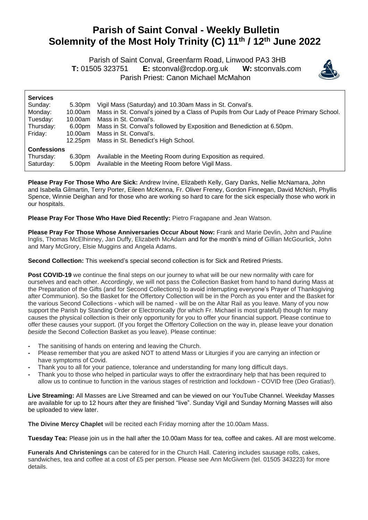## **Parish of Saint Conval - Weekly Bulletin Solemnity of the Most Holy Trinity (C) 11th / 12th June 2022**

Parish of Saint Conval, Greenfarm Road, Linwood PA3 3HB

 **T:** 01505 323751 **E:** [stconval@rcdop.org.uk](mailto:stconval@rcdop.org.uk) **W:** stconvals.com Parish Priest: Canon Michael McMahon



| <b>Services</b>    |         |                                                                                         |  |  |
|--------------------|---------|-----------------------------------------------------------------------------------------|--|--|
| Sunday:            | 5.30pm  | Vigil Mass (Saturday) and 10.30am Mass in St. Conval's.                                 |  |  |
| Monday:            | 10.00am | Mass in St. Conval's joined by a Class of Pupils from Our Lady of Peace Primary School. |  |  |
| Tuesday:           | 10.00am | Mass in St. Conval's.                                                                   |  |  |
| Thursday:          | 6.00pm  | Mass in St. Conval's followed by Exposition and Benediction at 6.50pm.                  |  |  |
| Friday:            | 10.00am | Mass in St. Conval's.                                                                   |  |  |
|                    | 12.25pm | Mass in St. Benedict's High School.                                                     |  |  |
| <b>Confessions</b> |         |                                                                                         |  |  |
| Thursday:          | 6.30pm  | Available in the Meeting Room during Exposition as required.                            |  |  |
| Saturday:          | 5.00pm  | Available in the Meeting Room before Vigil Mass.                                        |  |  |

**Please Pray For Those Who Are Sick:** Andrew Irvine, Elizabeth Kelly, Gary Danks, Nellie McNamara, John and Isabella Gilmartin, Terry Porter, Eileen McKenna, Fr. Oliver Freney, Gordon Finnegan, David McNish, Phyllis Spence, Winnie Deighan and for those who are working so hard to care for the sick especially those who work in our hospitals.

**Please Pray For Those Who Have Died Recently:** Pietro Fragapane and Jean Watson.

**Please Pray For Those Whose Anniversaries Occur About Now:** Frank and Marie Devlin, John and Pauline Inglis, Thomas McElhinney, Jan Duffy, Elizabeth McAdam and for the month's mind of Gillian McGourlick, John and Mary McGrory, Elsie Muggins and Angela Adams.

**Second Collection:** This weekend's special second collection is for Sick and Retired Priests.

**Post COVID-19** we continue the final steps on our journey to what will be our new normality with care for ourselves and each other. Accordingly, we will not pass the Collection Basket from hand to hand during Mass at the Preparation of the Gifts (and for Second Collections) to avoid interrupting everyone's Prayer of Thanksgiving after Communion). So the Basket for the Offertory Collection will be in the Porch as you enter and the Basket for the various Second Collections - which will be named - will be on the Altar Rail as you leave. Many of you now support the Parish by Standing Order or Electronically (for which Fr. Michael is most grateful) though for many causes the physical collection is their only opportunity for you to offer your financial support. Please continue to offer these causes your support. (If you forget the Offertory Collection on the way in, please leave your donation *beside* the Second Collection Basket as you leave). Please continue:

- **-** The sanitising of hands on entering and leaving the Church.
- **-** Please remember that you are asked NOT to attend Mass or Liturgies if you are carrying an infection or have symptoms of Covid.
- **-** Thank you to all for your patience, tolerance and understanding for many long difficult days.
- **-** Thank you to those who helped in particular ways to offer the extraordinary help that has been required to allow us to continue to function in the various stages of restriction and lockdown - COVID free (Deo Gratias!).

**Live Streaming:** All Masses are Live Streamed and can be viewed on our YouTube Channel. Weekday Masses are available for up to 12 hours after they are finished "live". Sunday Vigil and Sunday Morning Masses will also be uploaded to view later.

**The Divine Mercy Chaplet** will be recited each Friday morning after the 10.00am Mass.

**Tuesday Tea:** Please join us in the hall after the 10.00am Mass for tea, coffee and cakes. All are most welcome.

**Funerals And Christenings** can be catered for in the Church Hall. Catering includes sausage rolls, cakes, sandwiches, tea and coffee at a cost of £5 per person. Please see Ann McGivern (tel. 01505 343223) for more details.